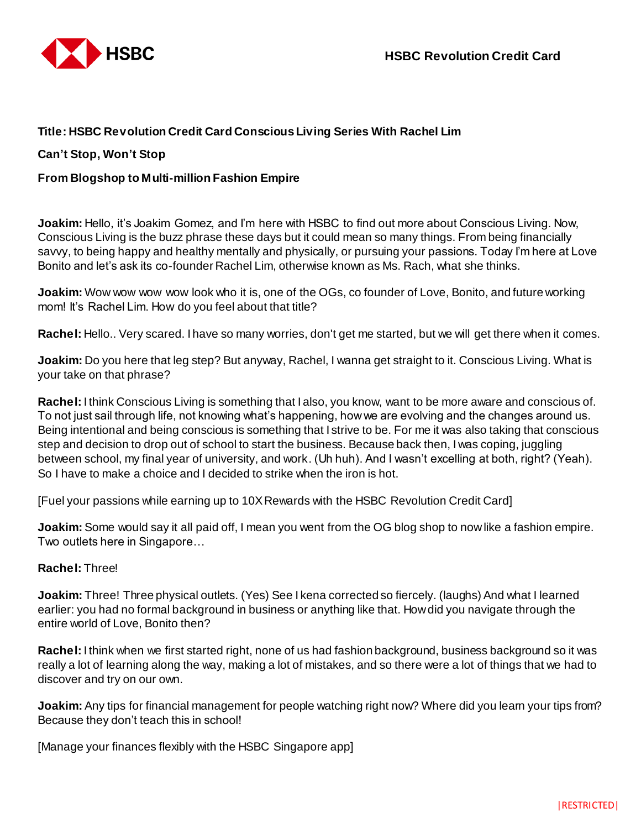

# **Title: HSBC Revolution Credit Card Conscious Living Series With Rachel Lim**

# **Can't Stop, Won't Stop**

# **From Blogshop to Multi-million Fashion Empire**

**Joakim:** Hello, it's Joakim Gomez, and I'm here with HSBC to find out more about Conscious Living. Now, Conscious Living is the buzz phrase these days but it could mean so many things. From being financially savvy, to being happy and healthy mentally and physically, or pursuing your passions. Today I'm here at Love Bonito and let's ask its co-founder Rachel Lim, otherwise known as Ms. Rach, what she thinks.

**Joakim:** Wow wow wow wow look who it is, one of the OGs, co founder of Love, Bonito, and future working mom! It's Rachel Lim. How do you feel about that title?

**Rachel:** Hello.. Very scared. I have so many worries, don't get me started, but we will get there when it comes.

**Joakim:** Do you here that leg step? But anyway, Rachel, I wanna get straight to it. Conscious Living. What is your take on that phrase?

**Rachel:** I think Conscious Living is something that I also, you know, want to be more aware and conscious of. To not just sail through life, not knowing what's happening, how we are evolving and the changes around us. Being intentional and being conscious is something that I strive to be. For me it was also taking that conscious step and decision to drop out of school to start the business. Because back then, I was coping, juggling between school, my final year of university, and work. (Uh huh). And I wasn't excelling at both, right? (Yeah). So I have to make a choice and I decided to strike when the iron is hot.

[Fuel your passions while earning up to 10X Rewards with the HSBC Revolution Credit Card]

**Joakim:** Some would say it all paid off, I mean you went from the OG blog shop to now like a fashion empire. Two outlets here in Singapore…

### **Rachel:** Three!

**Joakim:** Three! Three physical outlets. (Yes) See I kena corrected so fiercely. (laughs) And what I learned earlier: you had no formal background in business or anything like that. How did you navigate through the entire world of Love, Bonito then?

**Rachel:** I think when we first started right, none of us had fashion background, business background so it was really a lot of learning along the way, making a lot of mistakes, and so there were a lot of things that we had to discover and try on our own.

**Joakim:** Any tips for financial management for people watching right now? Where did you learn your tips from? Because they don't teach this in school!

[Manage your finances flexibly with the HSBC Singapore app]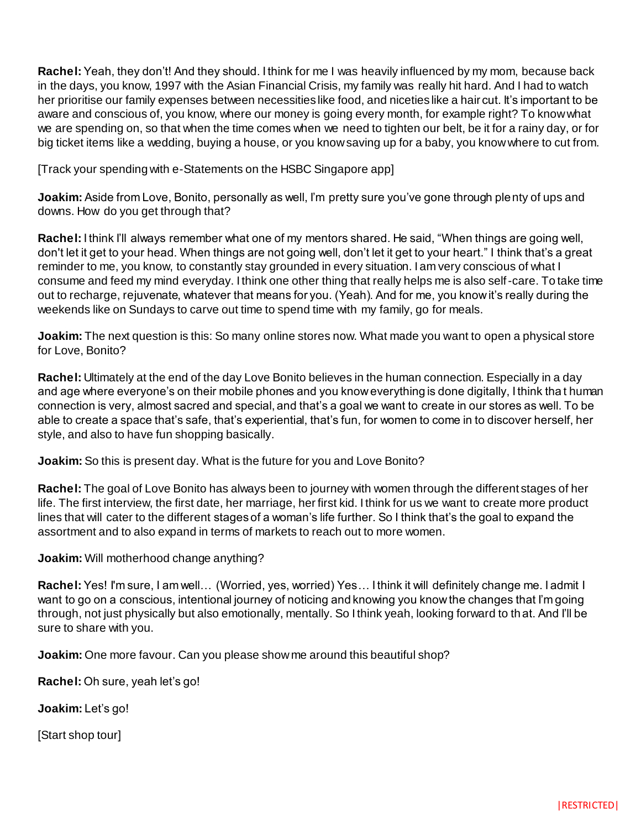**Rachel:** Yeah, they don't! And they should. I think for me I was heavily influenced by my mom, because back in the days, you know, 1997 with the Asian Financial Crisis, my family was really hit hard. And I had to watch her prioritise our family expenses between necessities like food, and niceties like a hair cut. It's important to be aware and conscious of, you know, where our money is going every month, for example right? To know what we are spending on, so that when the time comes when we need to tighten our belt, be it for a rainy day, or for big ticket items like a wedding, buying a house, or you know saving up for a baby, you know where to cut from.

[Track your spending with e-Statements on the HSBC Singapore app]

**Joakim:** Aside from Love, Bonito, personally as well, I'm pretty sure you've gone through plenty of ups and downs. How do you get through that?

**Rachel:** I think I'll always remember what one of my mentors shared. He said, "When things are going well, don't let it get to your head. When things are not going well, don't let it get to your heart." I think that's a great reminder to me, you know, to constantly stay grounded in every situation. I am very conscious of what I consume and feed my mind everyday. I think one other thing that really helps me is also self-care. To take time out to recharge, rejuvenate, whatever that means for you. (Yeah). And for me, you know it's really during the weekends like on Sundays to carve out time to spend time with my family, go for meals.

**Joakim:** The next question is this: So many online stores now. What made you want to open a physical store for Love, Bonito?

**Rachel:** Ultimately at the end of the day Love Bonito believes in the human connection. Especially in a day and age where everyone's on their mobile phones and you know everything is done digitally, I think tha t human connection is very, almost sacred and special, and that's a goal we want to create in our stores as well. To be able to create a space that's safe, that's experiential, that's fun, for women to come in to discover herself, her style, and also to have fun shopping basically.

**Joakim:** So this is present day. What is the future for you and Love Bonito?

**Rachel:** The goal of Love Bonito has always been to journey with women through the different stages of her life. The first interview, the first date, her marriage, her first kid. I think for us we want to create more product lines that will cater to the different stages of a woman's life further. So I think that's the goal to expand the assortment and to also expand in terms of markets to reach out to more women.

### **Joakim:** Will motherhood change anything?

**Rachel:** Yes! I'm sure, I am well… (Worried, yes, worried) Yes… I think it will definitely change me. I admit I want to go on a conscious, intentional journey of noticing and knowing you know the changes that I'm going through, not just physically but also emotionally, mentally. So I think yeah, looking forward to th at. And I'll be sure to share with you.

**Joakim:** One more favour. Can you please show me around this beautiful shop?

**Rachel:** Oh sure, yeah let's go!

**Joakim:** Let's go!

[Start shop tour]